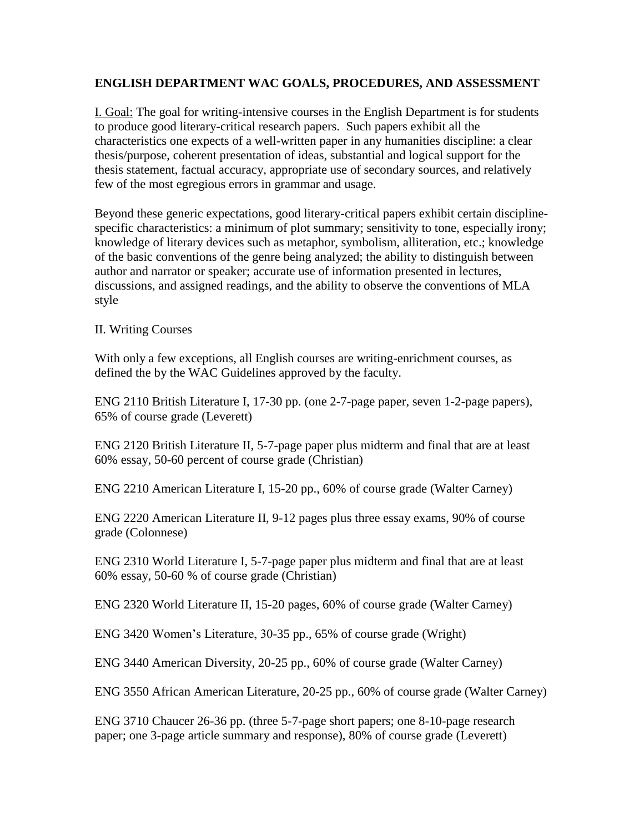### **ENGLISH DEPARTMENT WAC GOALS, PROCEDURES, AND ASSESSMENT**

I. Goal: The goal for writing-intensive courses in the English Department is for students to produce good literary-critical research papers. Such papers exhibit all the characteristics one expects of a well-written paper in any humanities discipline: a clear thesis/purpose, coherent presentation of ideas, substantial and logical support for the thesis statement, factual accuracy, appropriate use of secondary sources, and relatively few of the most egregious errors in grammar and usage.

Beyond these generic expectations, good literary-critical papers exhibit certain disciplinespecific characteristics: a minimum of plot summary; sensitivity to tone, especially irony; knowledge of literary devices such as metaphor, symbolism, alliteration, etc.; knowledge of the basic conventions of the genre being analyzed; the ability to distinguish between author and narrator or speaker; accurate use of information presented in lectures, discussions, and assigned readings, and the ability to observe the conventions of MLA style

II. Writing Courses

With only a few exceptions, all English courses are writing-enrichment courses, as defined the by the WAC Guidelines approved by the faculty.

ENG 2110 British Literature I, 17-30 pp. (one 2-7-page paper, seven 1-2-page papers), 65% of course grade (Leverett)

ENG 2120 British Literature II, 5-7-page paper plus midterm and final that are at least 60% essay, 50-60 percent of course grade (Christian)

ENG 2210 American Literature I, 15-20 pp., 60% of course grade (Walter Carney)

ENG 2220 American Literature II, 9-12 pages plus three essay exams, 90% of course grade (Colonnese)

ENG 2310 World Literature I, 5-7-page paper plus midterm and final that are at least 60% essay, 50-60 % of course grade (Christian)

ENG 2320 World Literature II, 15-20 pages, 60% of course grade (Walter Carney)

ENG 3420 Women's Literature, 30-35 pp., 65% of course grade (Wright)

ENG 3440 American Diversity, 20-25 pp., 60% of course grade (Walter Carney)

ENG 3550 African American Literature, 20-25 pp., 60% of course grade (Walter Carney)

ENG 3710 Chaucer 26-36 pp. (three 5-7-page short papers; one 8-10-page research paper; one 3-page article summary and response), 80% of course grade (Leverett)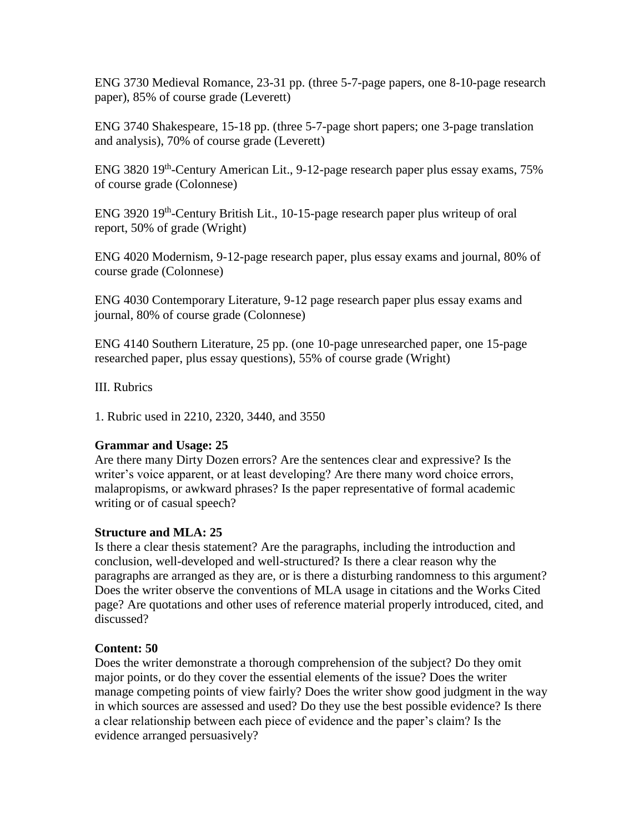ENG 3730 Medieval Romance, 23-31 pp. (three 5-7-page papers, one 8-10-page research paper), 85% of course grade (Leverett)

ENG 3740 Shakespeare, 15-18 pp. (three 5-7-page short papers; one 3-page translation and analysis), 70% of course grade (Leverett)

ENG 3820 19<sup>th</sup>-Century American Lit., 9-12-page research paper plus essay exams, 75% of course grade (Colonnese)

ENG 3920 19<sup>th</sup>-Century British Lit., 10-15-page research paper plus writeup of oral report, 50% of grade (Wright)

ENG 4020 Modernism, 9-12-page research paper, plus essay exams and journal, 80% of course grade (Colonnese)

ENG 4030 Contemporary Literature, 9-12 page research paper plus essay exams and journal, 80% of course grade (Colonnese)

ENG 4140 Southern Literature, 25 pp. (one 10-page unresearched paper, one 15-page researched paper, plus essay questions), 55% of course grade (Wright)

III. Rubrics

1. Rubric used in 2210, 2320, 3440, and 3550

# **Grammar and Usage: 25**

Are there many Dirty Dozen errors? Are the sentences clear and expressive? Is the writer's voice apparent, or at least developing? Are there many word choice errors, malapropisms, or awkward phrases? Is the paper representative of formal academic writing or of casual speech?

# **Structure and MLA: 25**

Is there a clear thesis statement? Are the paragraphs, including the introduction and conclusion, well-developed and well-structured? Is there a clear reason why the paragraphs are arranged as they are, or is there a disturbing randomness to this argument? Does the writer observe the conventions of MLA usage in citations and the Works Cited page? Are quotations and other uses of reference material properly introduced, cited, and discussed?

# **Content: 50**

Does the writer demonstrate a thorough comprehension of the subject? Do they omit major points, or do they cover the essential elements of the issue? Does the writer manage competing points of view fairly? Does the writer show good judgment in the way in which sources are assessed and used? Do they use the best possible evidence? Is there a clear relationship between each piece of evidence and the paper's claim? Is the evidence arranged persuasively?